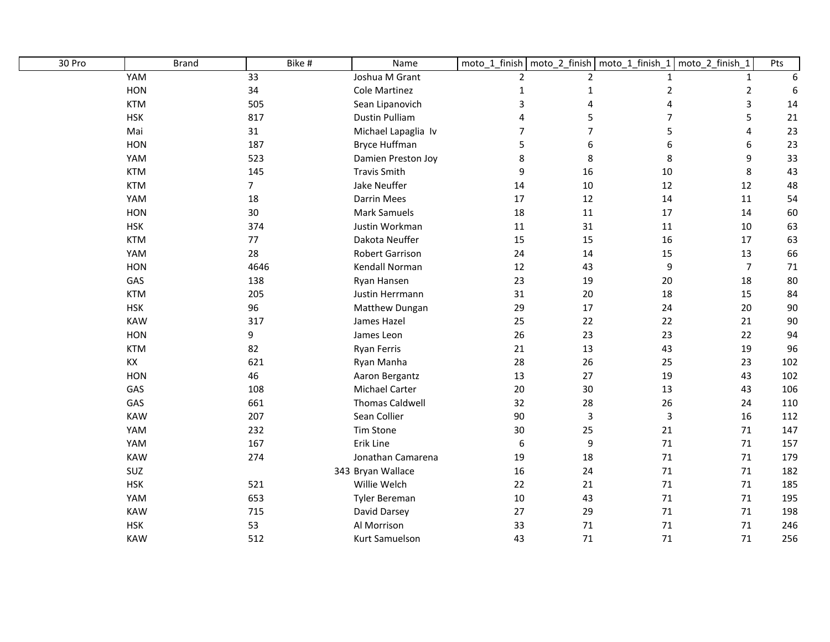| 30 Pro | <b>Brand</b> | Bike #         | Name                   |                  |                | moto_1_finish   moto_2_finish   moto_1_finish_1 | moto_2_finish_1 | Pts    |
|--------|--------------|----------------|------------------------|------------------|----------------|-------------------------------------------------|-----------------|--------|
|        | YAM          | 33             | Joshua M Grant         | $\overline{2}$   | $\overline{2}$ | $\mathbf{1}$                                    | $\mathbf{1}$    | 6      |
|        | HON          | 34             | <b>Cole Martinez</b>   | $\mathbf 1$      | $\mathbf{1}$   | $\overline{2}$                                  | $\overline{2}$  | 6      |
|        | <b>KTM</b>   | 505            | Sean Lipanovich        | 3                | 4              | 4                                               | 3               | 14     |
|        | <b>HSK</b>   | 817            | <b>Dustin Pulliam</b>  | 4                | 5              | $\overline{7}$                                  | 5               | 21     |
|        | Mai          | 31             | Michael Lapaglia Iv    | $\overline{7}$   | $\overline{7}$ | 5                                               | 4               | 23     |
|        | HON          | 187            | <b>Bryce Huffman</b>   | 5                | 6              | 6                                               | 6               | 23     |
|        | YAM          | 523            | Damien Preston Joy     | $\,8\,$          | 8              | 8                                               | 9               | 33     |
|        | <b>KTM</b>   | 145            | <b>Travis Smith</b>    | $\boldsymbol{9}$ | 16             | 10                                              | 8               | 43     |
|        | <b>KTM</b>   | $\overline{7}$ | Jake Neuffer           | 14               | 10             | 12                                              | 12              | 48     |
|        | YAM          | 18             | <b>Darrin Mees</b>     | 17               | 12             | 14                                              | 11              | 54     |
|        | HON          | 30             | <b>Mark Samuels</b>    | 18               | 11             | $17\,$                                          | 14              | 60     |
|        | <b>HSK</b>   | 374            | Justin Workman         | 11               | 31             | 11                                              | 10              | 63     |
|        | <b>KTM</b>   | 77             | Dakota Neuffer         | 15               | 15             | 16                                              | 17              | 63     |
|        | YAM          | 28             | <b>Robert Garrison</b> | 24               | 14             | 15                                              | 13              | 66     |
|        | <b>HON</b>   | 4646           | Kendall Norman         | $12$             | 43             | 9                                               | $\overline{7}$  | $71\,$ |
|        | GAS          | 138            | Ryan Hansen            | 23               | 19             | 20                                              | 18              | 80     |
|        | <b>KTM</b>   | 205            | Justin Herrmann        | 31               | 20             | 18                                              | 15              | 84     |
|        | <b>HSK</b>   | 96             | Matthew Dungan         | 29               | 17             | 24                                              | 20              | 90     |
|        | <b>KAW</b>   | 317            | James Hazel            | 25               | 22             | 22                                              | 21              | 90     |
|        | HON          | 9              | James Leon             | 26               | 23             | 23                                              | 22              | 94     |
|        | <b>KTM</b>   | 82             | <b>Ryan Ferris</b>     | 21               | 13             | 43                                              | 19              | 96     |
|        | KX           | 621            | Ryan Manha             | 28               | 26             | 25                                              | 23              | 102    |
|        | HON          | 46             | Aaron Bergantz         | 13               | 27             | 19                                              | 43              | 102    |
|        | GAS          | 108            | Michael Carter         | 20               | 30             | 13                                              | 43              | 106    |
|        | GAS          | 661            | <b>Thomas Caldwell</b> | 32               | 28             | 26                                              | 24              | 110    |
|        | <b>KAW</b>   | 207            | Sean Collier           | 90               | $\overline{3}$ | $\mathsf 3$                                     | 16              | 112    |
|        | YAM          | 232            | <b>Tim Stone</b>       | 30               | 25             | 21                                              | 71              | 147    |
|        | YAM          | 167            | Erik Line              | $\boldsymbol{6}$ | 9              | 71                                              | 71              | 157    |
|        | KAW          | 274            | Jonathan Camarena      | 19               | 18             | 71                                              | 71              | 179    |
|        | SUZ          |                | 343 Bryan Wallace      | 16               | 24             | 71                                              | 71              | 182    |
|        | <b>HSK</b>   | 521            | Willie Welch           | 22               | 21             | $71\,$                                          | 71              | 185    |
|        | YAM          | 653            | Tyler Bereman          | 10               | 43             | $71\,$                                          | 71              | 195    |
|        | <b>KAW</b>   | 715            | David Darsey           | 27               | 29             | 71                                              | 71              | 198    |
|        | <b>HSK</b>   | 53             | Al Morrison            | 33               | 71             | 71                                              | 71              | 246    |
|        | <b>KAW</b>   | 512            | Kurt Samuelson         | 43               | 71             | 71                                              | 71              | 256    |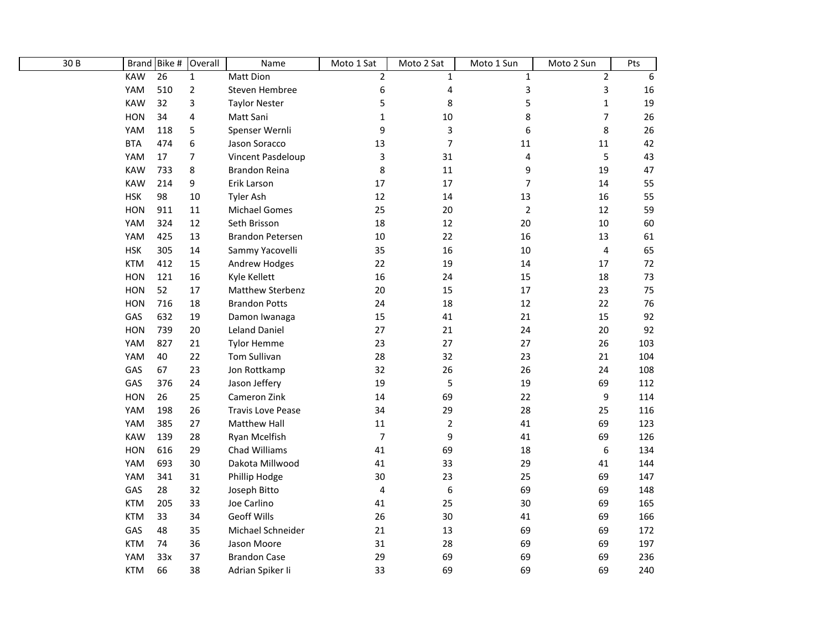| 30 B |            | Brand Bike #    | Overall        | Name                     | Moto 1 Sat     | Moto 2 Sat       | Moto 1 Sun                | Moto 2 Sun     | Pts |
|------|------------|-----------------|----------------|--------------------------|----------------|------------------|---------------------------|----------------|-----|
|      | <b>KAW</b> | $\overline{26}$ | $\mathbf 1$    | Matt Dion                | $\overline{2}$ | $\mathbf{1}$     | $\mathbf{1}$              | $\overline{2}$ | 6   |
|      | YAM        | 510             | $\overline{2}$ | Steven Hembree           | 6              | 4                | $\ensuremath{\mathsf{3}}$ | $\mathsf 3$    | 16  |
|      | <b>KAW</b> | 32              | 3              | <b>Taylor Nester</b>     | 5              | 8                | 5                         | $1\,$          | 19  |
|      | <b>HON</b> | 34              | 4              | Matt Sani                | $\mathbf 1$    | 10               | 8                         | $\overline{7}$ | 26  |
|      | YAM        | 118             | 5              | Spenser Wernli           | 9              | $\mathsf 3$      | 6                         | 8              | 26  |
|      | <b>BTA</b> | 474             | 6              | Jason Soracco            | 13             | $\overline{7}$   | 11                        | $11\,$         | 42  |
|      | YAM        | 17              | $\overline{7}$ | Vincent Pasdeloup        | 3              | 31               | $\overline{\mathbf{4}}$   | 5              | 43  |
|      | <b>KAW</b> | 733             | 8              | <b>Brandon Reina</b>     | 8              | 11               | 9                         | 19             | 47  |
|      | <b>KAW</b> | 214             | 9              | Erik Larson              | 17             | 17               | $\overline{7}$            | 14             | 55  |
|      | <b>HSK</b> | 98              | 10             | Tyler Ash                | 12             | 14               | 13                        | 16             | 55  |
|      | <b>HON</b> | 911             | 11             | <b>Michael Gomes</b>     | 25             | 20               | $\overline{2}$            | 12             | 59  |
|      | YAM        | 324             | 12             | Seth Brisson             | 18             | 12               | 20                        | 10             | 60  |
|      | YAM        | 425             | 13             | Brandon Petersen         | $10\,$         | 22               | 16                        | 13             | 61  |
|      | <b>HSK</b> | 305             | 14             | Sammy Yacovelli          | 35             | 16               | 10                        | $\pmb{4}$      | 65  |
|      | <b>KTM</b> | 412             | 15             | Andrew Hodges            | 22             | 19               | 14                        | 17             | 72  |
|      | <b>HON</b> | 121             | 16             | Kyle Kellett             | 16             | 24               | 15                        | 18             | 73  |
|      | <b>HON</b> | 52              | 17             | Matthew Sterbenz         | 20             | 15               | 17                        | 23             | 75  |
|      | <b>HON</b> | 716             | 18             | <b>Brandon Potts</b>     | 24             | 18               | 12                        | 22             | 76  |
|      | GAS        | 632             | 19             | Damon Iwanaga            | 15             | 41               | 21                        | 15             | 92  |
|      | <b>HON</b> | 739             | 20             | <b>Leland Daniel</b>     | 27             | 21               | 24                        | 20             | 92  |
|      | YAM        | 827             | 21             | <b>Tylor Hemme</b>       | 23             | 27               | 27                        | 26             | 103 |
|      | YAM        | 40              | 22             | Tom Sullivan             | 28             | 32               | 23                        | 21             | 104 |
|      | GAS        | 67              | 23             | Jon Rottkamp             | 32             | 26               | 26                        | 24             | 108 |
|      | GAS        | 376             | 24             | Jason Jeffery            | 19             | 5                | 19                        | 69             | 112 |
|      | <b>HON</b> | 26              | 25             | Cameron Zink             | 14             | 69               | 22                        | 9              | 114 |
|      | YAM        | 198             | 26             | <b>Travis Love Pease</b> | 34             | 29               | 28                        | 25             | 116 |
|      | YAM        | 385             | 27             | <b>Matthew Hall</b>      | 11             | $\overline{2}$   | 41                        | 69             | 123 |
|      | <b>KAW</b> | 139             | 28             | Ryan Mcelfish            | $\overline{7}$ | 9                | 41                        | 69             | 126 |
|      | <b>HON</b> | 616             | 29             | Chad Williams            | 41             | 69               | 18                        | 6              | 134 |
|      | YAM        | 693             | 30             | Dakota Millwood          | 41             | 33               | 29                        | 41             | 144 |
|      | YAM        | 341             | 31             | Phillip Hodge            | 30             | 23               | 25                        | 69             | 147 |
|      | GAS        | 28              | 32             | Joseph Bitto             | 4              | $\boldsymbol{6}$ | 69                        | 69             | 148 |
|      | <b>KTM</b> | 205             | 33             | Joe Carlino              | 41             | 25               | 30                        | 69             | 165 |
|      | <b>KTM</b> | 33              | 34             | <b>Geoff Wills</b>       | 26             | 30               | 41                        | 69             | 166 |
|      | GAS        | 48              | 35             | Michael Schneider        | 21             | 13               | 69                        | 69             | 172 |
|      | <b>KTM</b> | 74              | 36             | Jason Moore              | 31             | 28               | 69                        | 69             | 197 |
|      | YAM        | 33x             | 37             | <b>Brandon Case</b>      | 29             | 69               | 69                        | 69             | 236 |
|      | <b>KTM</b> | 66              | 38             | Adrian Spiker Ii         | 33             | 69               | 69                        | 69             | 240 |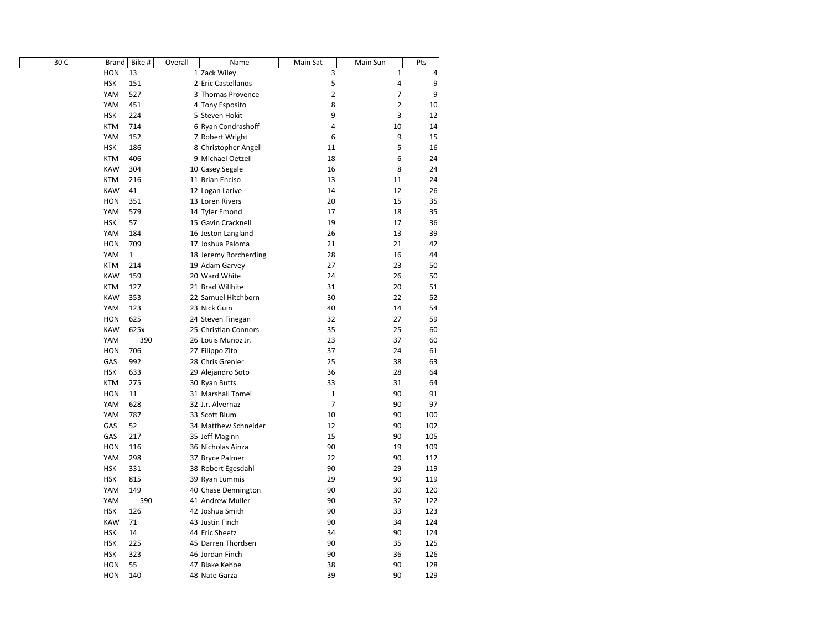| 30 C | Brand      | Bike #       | Overall | Name                  | Main Sat       | Main Sun       | Pts |
|------|------------|--------------|---------|-----------------------|----------------|----------------|-----|
|      | <b>HON</b> | 13           |         | 1 Zack Wiley          | 3              | $\mathbf 1$    | 4   |
|      | <b>HSK</b> | 151          |         | 2 Eric Castellanos    | 5              | 4              | 9   |
|      | YAM        | 527          |         | 3 Thomas Provence     | $\overline{2}$ | $\overline{7}$ | 9   |
|      | YAM        | 451          |         | 4 Tony Esposito       | 8              | $\overline{2}$ | 10  |
|      | <b>HSK</b> | 224          |         | 5 Steven Hokit        | 9              | 3              | 12  |
|      | <b>KTM</b> | 714          |         | 6 Ryan Condrashoff    | 4              | 10             | 14  |
|      | YAM        | 152          |         | 7 Robert Wright       | 6              | 9              | 15  |
|      | <b>HSK</b> | 186          |         | 8 Christopher Angell  | 11             | 5              | 16  |
|      | <b>KTM</b> | 406          |         | 9 Michael Oetzell     | 18             | 6              | 24  |
|      | <b>KAW</b> | 304          |         | 10 Casey Segale       | 16             | 8              | 24  |
|      | <b>KTM</b> | 216          |         | 11 Brian Enciso       | 13             | 11             | 24  |
|      | <b>KAW</b> | 41           |         | 12 Logan Larive       | 14             | 12             | 26  |
|      | <b>HON</b> | 351          |         | 13 Loren Rivers       | 20             | 15             | 35  |
|      | YAM        | 579          |         | 14 Tyler Emond        | 17             | 18             | 35  |
|      | <b>HSK</b> | 57           |         | 15 Gavin Cracknell    | 19             | 17             | 36  |
|      | YAM        | 184          |         | 16 Jeston Langland    | 26             | 13             | 39  |
|      | <b>HON</b> | 709          |         | 17 Joshua Paloma      | 21             | 21             | 42  |
|      | YAM        | $\mathbf{1}$ |         | 18 Jeremy Borcherding | 28             | 16             | 44  |
|      | <b>KTM</b> | 214          |         | 19 Adam Garvey        | 27             | 23             | 50  |
|      | <b>KAW</b> | 159          |         | 20 Ward White         | 24             | 26             | 50  |
|      | <b>KTM</b> | 127          |         | 21 Brad Willhite      | 31             | 20             | 51  |
|      | <b>KAW</b> | 353          |         | 22 Samuel Hitchborn   | 30             | 22             | 52  |
|      | YAM        | 123          |         | 23 Nick Guin          | 40             | 14             | 54  |
|      | <b>HON</b> | 625          |         | 24 Steven Finegan     | 32             | 27             | 59  |
|      | <b>KAW</b> | 625x         |         | 25 Christian Connors  | 35             | 25             | 60  |
|      | YAM        | 390          |         | 26 Louis Munoz Jr.    | 23             | 37             | 60  |
|      | <b>HON</b> | 706          |         | 27 Filippo Zito       | 37             | 24             | 61  |
|      | GAS        | 992          |         | 28 Chris Grenier      | 25             | 38             | 63  |
|      | <b>HSK</b> | 633          |         | 29 Alejandro Soto     | 36             | 28             | 64  |
|      | <b>KTM</b> | 275          |         | 30 Ryan Butts         | 33             | 31             | 64  |
|      | <b>HON</b> | 11           |         | 31 Marshall Tomei     | $\mathbf 1$    | 90             | 91  |
|      | YAM        | 628          |         | 32 J.r. Alvernaz      | $\overline{7}$ | 90             | 97  |
|      | YAM        | 787          |         | 33 Scott Blum         | 10             | 90             | 100 |
|      | GAS        | 52           |         | 34 Matthew Schneider  | 12             | 90             | 102 |
|      | GAS        | 217          |         | 35 Jeff Maginn        | 15             | 90             | 105 |
|      | <b>HON</b> | 116          |         | 36 Nicholas Ainza     | 90             | 19             | 109 |
|      | YAM        | 298          |         | 37 Bryce Palmer       | 22             | 90             | 112 |
|      | <b>HSK</b> | 331          |         | 38 Robert Egesdahl    | 90             | 29             | 119 |
|      | <b>HSK</b> | 815          |         | 39 Ryan Lummis        | 29             | 90             | 119 |
|      | YAM        | 149          |         | 40 Chase Dennington   | 90             | 30             | 120 |
|      | YAM        | 590          |         | 41 Andrew Muller      | 90             | 32             | 122 |
|      | <b>HSK</b> | 126          |         | 42 Joshua Smith       | 90             | 33             | 123 |
|      | <b>KAW</b> | 71           |         | 43 Justin Finch       | 90             | 34             | 124 |
|      | <b>HSK</b> | 14           |         | 44 Eric Sheetz        | 34             | 90             | 124 |
|      | <b>HSK</b> | 225          |         | 45 Darren Thordsen    | 90             | 35             | 125 |
|      | <b>HSK</b> | 323          |         | 46 Jordan Finch       | 90             | 36             | 126 |
|      | <b>HON</b> | 55           |         | 47 Blake Kehoe        | 38             | 90             | 128 |
|      | <b>HON</b> | 140          |         | 48 Nate Garza         | 39             | 90             | 129 |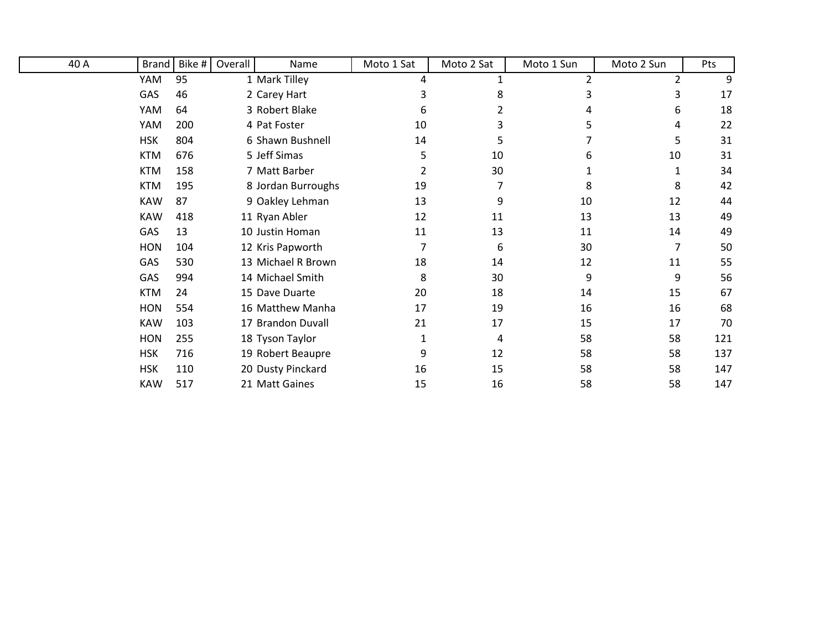| 40 A | Brand      | Bike # | Overall | Name               | Moto 1 Sat     | Moto 2 Sat | Moto 1 Sun | Moto 2 Sun     | Pts |
|------|------------|--------|---------|--------------------|----------------|------------|------------|----------------|-----|
|      | YAM        | 95     |         | 1 Mark Tilley      | 4              |            | 2          | $\overline{2}$ | 9   |
|      | GAS        | 46     |         | 2 Carey Hart       |                | 8          |            | 3              | 17  |
|      | YAM        | 64     |         | 3 Robert Blake     | 6              |            |            | 6              | 18  |
|      | YAM        | 200    |         | 4 Pat Foster       | 10             | 3          | 5.         | 4              | 22  |
|      | <b>HSK</b> | 804    |         | 6 Shawn Bushnell   | 14             | 5          |            | 5              | 31  |
|      | <b>KTM</b> | 676    |         | 5 Jeff Simas       | 5              | 10         | 6          | 10             | 31  |
|      | <b>KTM</b> | 158    |         | 7 Matt Barber      | $\overline{2}$ | 30         |            |                | 34  |
|      | <b>KTM</b> | 195    |         | 8 Jordan Burroughs | 19             | 7          | 8          | 8              | 42  |
|      | <b>KAW</b> | 87     |         | 9 Oakley Lehman    | 13             | 9          | 10         | 12             | 44  |
|      | <b>KAW</b> | 418    |         | 11 Ryan Abler      | 12             | 11         | 13         | 13             | 49  |
|      | GAS        | 13     |         | 10 Justin Homan    | 11             | 13         | 11         | 14             | 49  |
|      | <b>HON</b> | 104    |         | 12 Kris Papworth   | 7              | 6          | 30         | 7              | 50  |
|      | GAS        | 530    |         | 13 Michael R Brown | 18             | 14         | 12         | 11             | 55  |
|      | GAS        | 994    |         | 14 Michael Smith   | 8              | 30         | 9          | 9              | 56  |
|      | <b>KTM</b> | 24     |         | 15 Dave Duarte     | 20             | 18         | 14         | 15             | 67  |
|      | <b>HON</b> | 554    |         | 16 Matthew Manha   | 17             | 19         | 16         | 16             | 68  |
|      | <b>KAW</b> | 103    |         | 17 Brandon Duvall  | 21             | 17         | 15         | 17             | 70  |
|      | <b>HON</b> | 255    |         | 18 Tyson Taylor    | 1              | 4          | 58         | 58             | 121 |
|      | <b>HSK</b> | 716    |         | 19 Robert Beaupre  | 9              | 12         | 58         | 58             | 137 |
|      | <b>HSK</b> | 110    |         | 20 Dusty Pinckard  | 16             | 15         | 58         | 58             | 147 |
|      | KAW        | 517    |         | 21 Matt Gaines     | 15             | 16         | 58         | 58             | 147 |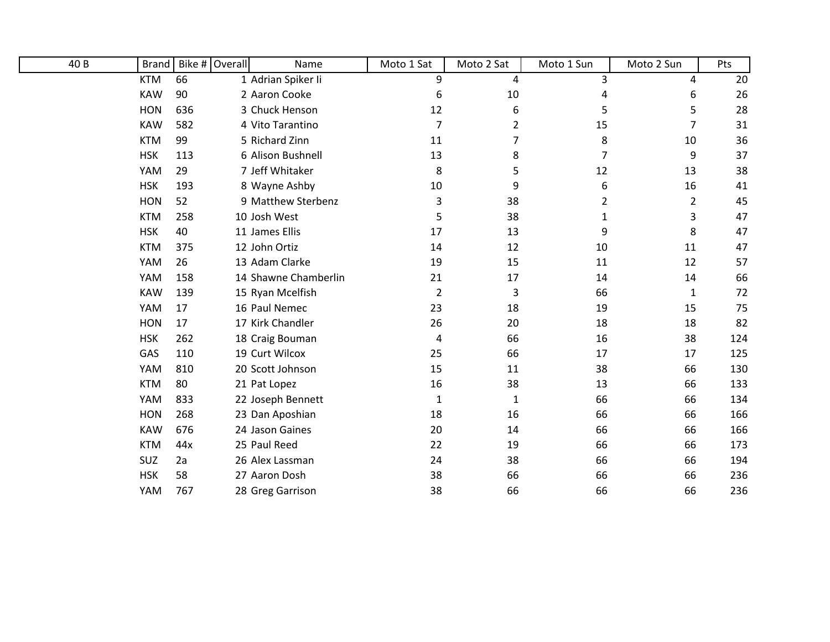| 40 B | Brand      |     | Bike # Overall | Name                 | Moto 1 Sat | Moto 2 Sat | Moto 1 Sun | Moto 2 Sun     | Pts |
|------|------------|-----|----------------|----------------------|------------|------------|------------|----------------|-----|
|      | <b>KTM</b> | 66  |                | 1 Adrian Spiker Ii   | 9          | 4          | 3          | 4              | 20  |
|      | <b>KAW</b> | 90  |                | 2 Aaron Cooke        | 6          | $10\,$     |            | 6              | 26  |
|      | <b>HON</b> | 636 |                | 3 Chuck Henson       | 12         | 6          | 5          | 5              | 28  |
|      | <b>KAW</b> | 582 |                | 4 Vito Tarantino     | 7          | 2          | 15         | 7              | 31  |
|      | <b>KTM</b> | 99  |                | 5 Richard Zinn       | 11         | 7          | 8          | 10             | 36  |
|      | <b>HSK</b> | 113 |                | 6 Alison Bushnell    | 13         | 8          | 7          | 9              | 37  |
|      | YAM        | 29  |                | 7 Jeff Whitaker      | 8          | 5          | 12         | 13             | 38  |
|      | <b>HSK</b> | 193 |                | 8 Wayne Ashby        | 10         | 9          | 6          | 16             | 41  |
|      | <b>HON</b> | 52  |                | 9 Matthew Sterbenz   | 3          | 38         | 2          | $\overline{2}$ | 45  |
|      | <b>KTM</b> | 258 |                | 10 Josh West         | 5          | 38         | 1          | 3              | 47  |
|      | <b>HSK</b> | 40  |                | 11 James Ellis       | 17         | 13         | 9          | 8              | 47  |
|      | <b>KTM</b> | 375 |                | 12 John Ortiz        | 14         | 12         | 10         | 11             | 47  |
|      | YAM        | 26  |                | 13 Adam Clarke       | 19         | 15         | 11         | 12             | 57  |
|      | YAM        | 158 |                | 14 Shawne Chamberlin | 21         | 17         | 14         | 14             | 66  |
|      | <b>KAW</b> | 139 |                | 15 Ryan Mcelfish     | 2          | 3          | 66         | 1              | 72  |
|      | YAM        | 17  |                | 16 Paul Nemec        | 23         | 18         | 19         | 15             | 75  |
|      | <b>HON</b> | 17  |                | 17 Kirk Chandler     | 26         | 20         | 18         | 18             | 82  |
|      | <b>HSK</b> | 262 |                | 18 Craig Bouman      | 4          | 66         | 16         | 38             | 124 |
|      | GAS        | 110 |                | 19 Curt Wilcox       | 25         | 66         | 17         | 17             | 125 |
|      | YAM        | 810 |                | 20 Scott Johnson     | 15         | 11         | 38         | 66             | 130 |
|      | <b>KTM</b> | 80  |                | 21 Pat Lopez         | 16         | 38         | 13         | 66             | 133 |
|      | YAM        | 833 |                | 22 Joseph Bennett    | 1          | 1          | 66         | 66             | 134 |
|      | <b>HON</b> | 268 |                | 23 Dan Aposhian      | 18         | 16         | 66         | 66             | 166 |
|      | <b>KAW</b> | 676 |                | 24 Jason Gaines      | 20         | 14         | 66         | 66             | 166 |
|      | <b>KTM</b> | 44x |                | 25 Paul Reed         | 22         | 19         | 66         | 66             | 173 |
|      | SUZ        | 2a  |                | 26 Alex Lassman      | 24         | 38         | 66         | 66             | 194 |
|      | <b>HSK</b> | 58  |                | 27 Aaron Dosh        | 38         | 66         | 66         | 66             | 236 |
|      | YAM        | 767 |                | 28 Greg Garrison     | 38         | 66         | 66         | 66             | 236 |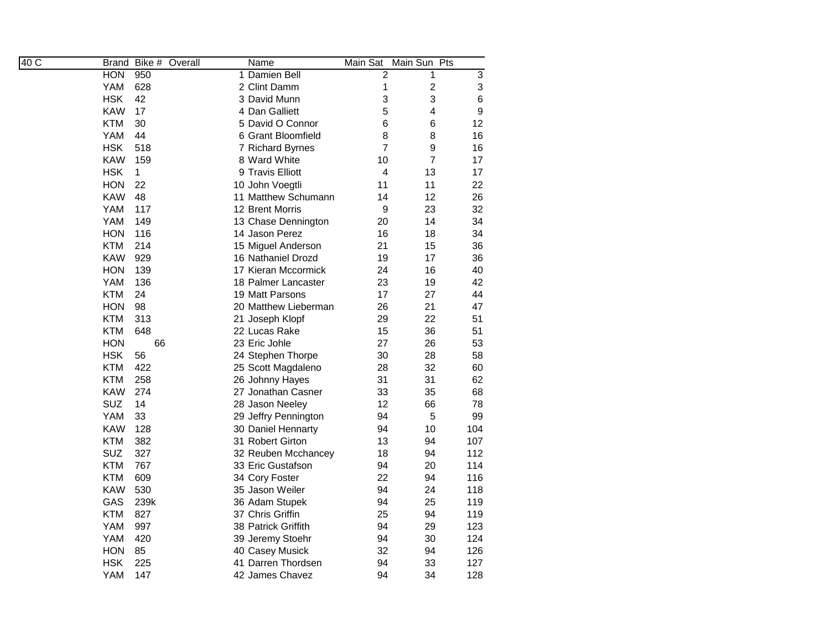| 40C | Bike #<br>Overall<br>Brand | Name                 | Main Sat<br>Main Sun<br>Pts  |                |
|-----|----------------------------|----------------------|------------------------------|----------------|
|     | <b>HON</b><br>950          | 1 Damien Bell        | $\overline{2}$<br>1          | $\overline{3}$ |
|     | YAM<br>628                 | 2 Clint Damm         | $\overline{\mathbf{c}}$<br>1 | 3              |
|     | <b>HSK</b><br>42           | 3 David Munn         | 3<br>3                       | 6              |
|     | KAW<br>17                  | 4 Dan Galliett       | 5<br>4                       | 9              |
|     | <b>KTM</b><br>30           | 5 David O Connor     | 6<br>6                       | 12             |
|     | YAM<br>44                  | 6 Grant Bloomfield   | 8<br>8                       | 16             |
|     | <b>HSK</b><br>518          | 7 Richard Byrnes     | $\overline{7}$<br>9          | 16             |
|     | <b>KAW</b><br>159          | 8 Ward White         | $\overline{7}$<br>10         | 17             |
|     | <b>HSK</b><br>1            | 9 Travis Elliott     | 13<br>4                      | 17             |
|     | <b>HON</b><br>22           | 10 John Voegtli      | 11<br>11                     | 22             |
|     | KAW<br>48                  | 11 Matthew Schumann  | 12<br>14                     | 26             |
|     | YAM<br>117                 | 12 Brent Morris      | 9<br>23                      | 32             |
|     | YAM<br>149                 | 13 Chase Dennington  | 20<br>14                     | 34             |
|     | <b>HON</b><br>116          | 14 Jason Perez       | 16<br>18                     | 34             |
|     | <b>KTM</b><br>214          | 15 Miguel Anderson   | 21<br>15                     | 36             |
|     | <b>KAW</b><br>929          | 16 Nathaniel Drozd   | 19<br>17                     | 36             |
|     | <b>HON</b><br>139          | 17 Kieran Mccormick  | 24<br>16                     | 40             |
|     | YAM<br>136                 | 18 Palmer Lancaster  | 23<br>19                     | 42             |
|     | KTM<br>24                  | 19 Matt Parsons      | 27<br>17                     | 44             |
|     | HON<br>98                  | 20 Matthew Lieberman | 26<br>21                     | 47             |
|     | KTM<br>313                 | 21 Joseph Klopf      | 29<br>22                     | 51             |
|     | 648<br>KTM                 | 22 Lucas Rake        | 15<br>36                     | 51             |
|     | 66<br>HON                  | 23 Eric Johle        | 27<br>26                     | 53             |
|     | <b>HSK</b><br>56           | 24 Stephen Thorpe    | 30<br>28                     | 58             |
|     | <b>KTM</b><br>422          | 25 Scott Magdaleno   | 32<br>28                     | 60             |
|     | <b>KTM</b><br>258          | 26 Johnny Hayes      | 31<br>31                     | 62             |
|     | <b>KAW</b><br>274          | 27 Jonathan Casner   | 33<br>35                     | 68             |
|     | <b>SUZ</b><br>14           | 28 Jason Neeley      | 12<br>66                     | 78             |
|     | YAM<br>33                  | 29 Jeffry Pennington | 94<br>5                      | 99             |
|     | <b>KAW</b><br>128          | 30 Daniel Hennarty   | 94<br>10                     | 104            |
|     | <b>KTM</b><br>382          | 31 Robert Girton     | 13<br>94                     | 107            |
|     | SUZ<br>327                 | 32 Reuben Mcchancey  | 94<br>18                     | 112            |
|     | <b>KTM</b><br>767          | 33 Eric Gustafson    | 94<br>20                     | 114            |
|     | <b>KTM</b><br>609          | 34 Cory Foster       | 22<br>94                     | 116            |
|     | <b>KAW</b><br>530          | 35 Jason Weiler      | 94<br>24                     | 118            |
|     | GAS<br>239k                | 36 Adam Stupek       | 94<br>25                     | 119            |
|     | KTM<br>827                 | 37 Chris Griffin     | 25<br>94                     | 119            |
|     | YAM<br>997                 | 38 Patrick Griffith  | 94<br>29                     | 123            |
|     | YAM<br>420                 | 39 Jeremy Stoehr     | 94<br>30                     | 124            |
|     | HON<br>85                  | 40 Casey Musick      | 32<br>94                     | 126            |
|     | <b>HSK</b><br>225          | 41 Darren Thordsen   | 94<br>33                     | 127            |
|     | YAM<br>147                 | 42 James Chavez      | 34<br>94                     | 128            |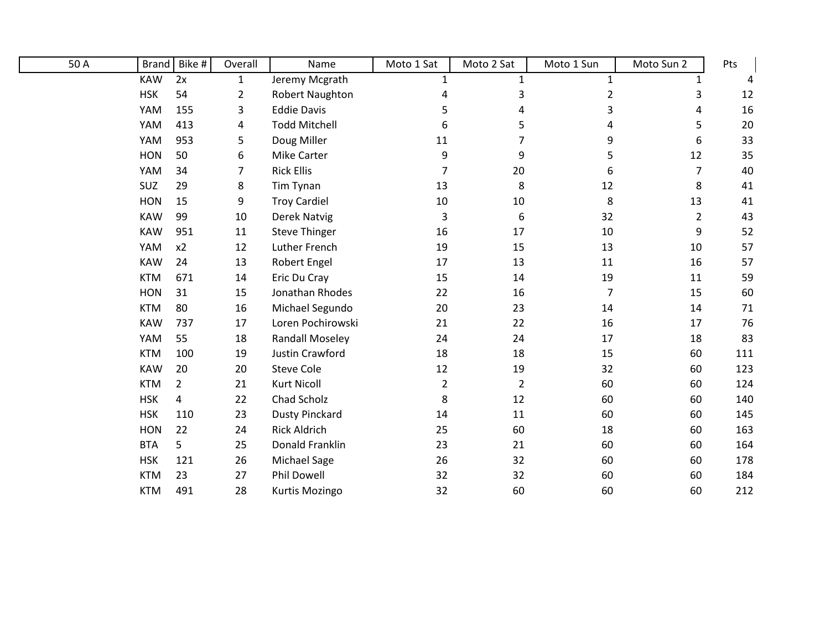| 50 A | <b>Brand</b> | Bike #         | Overall        | Name                   | Moto 1 Sat     | Moto 2 Sat     | Moto 1 Sun     | Moto Sun 2     | Pts |
|------|--------------|----------------|----------------|------------------------|----------------|----------------|----------------|----------------|-----|
|      | <b>KAW</b>   | 2x             | $\mathbf{1}$   | Jeremy Mcgrath         | 1              | 1              | $\mathbf{1}$   | 1              |     |
|      | <b>HSK</b>   | 54             | $\overline{2}$ | Robert Naughton        | 4              | 3              | $\overline{c}$ | 3              | 12  |
|      | YAM          | 155            | 3              | <b>Eddie Davis</b>     | 5              | 4              | 3              | 4              | 16  |
|      | YAM          | 413            | 4              | <b>Todd Mitchell</b>   | 6              | 5              | 4              | 5              | 20  |
|      | YAM          | 953            | 5              | Doug Miller            | 11             | 7              | 9              | 6              | 33  |
|      | <b>HON</b>   | 50             | 6              | Mike Carter            | 9              | 9              | 5              | 12             | 35  |
|      | YAM          | 34             | 7              | <b>Rick Ellis</b>      | $\overline{7}$ | 20             | 6              | $\overline{7}$ | 40  |
|      | SUZ          | 29             | 8              | Tim Tynan              | 13             | 8              | 12             | 8              | 41  |
|      | <b>HON</b>   | 15             | 9              | <b>Troy Cardiel</b>    | 10             | 10             | 8              | 13             | 41  |
|      | <b>KAW</b>   | 99             | 10             | Derek Natvig           | 3              | 6              | 32             | $\overline{2}$ | 43  |
|      | <b>KAW</b>   | 951            | 11             | <b>Steve Thinger</b>   | 16             | 17             | 10             | 9              | 52  |
|      | YAM          | x2             | 12             | Luther French          | 19             | 15             | 13             | 10             | 57  |
|      | <b>KAW</b>   | 24             | 13             | <b>Robert Engel</b>    | 17             | 13             | 11             | 16             | 57  |
|      | <b>KTM</b>   | 671            | 14             | Eric Du Cray           | 15             | 14             | 19             | 11             | 59  |
|      | <b>HON</b>   | 31             | 15             | Jonathan Rhodes        | 22             | 16             | 7              | 15             | 60  |
|      | <b>KTM</b>   | 80             | 16             | Michael Segundo        | 20             | 23             | 14             | 14             | 71  |
|      | <b>KAW</b>   | 737            | 17             | Loren Pochirowski      | 21             | 22             | 16             | 17             | 76  |
|      | YAM          | 55             | 18             | <b>Randall Moseley</b> | 24             | 24             | 17             | 18             | 83  |
|      | <b>KTM</b>   | 100            | 19             | <b>Justin Crawford</b> | 18             | 18             | 15             | 60             | 111 |
|      | <b>KAW</b>   | 20             | 20             | <b>Steve Cole</b>      | 12             | 19             | 32             | 60             | 123 |
|      | <b>KTM</b>   | $\overline{2}$ | 21             | <b>Kurt Nicoll</b>     | $\overline{2}$ | $\overline{2}$ | 60             | 60             | 124 |
|      | <b>HSK</b>   | 4              | 22             | Chad Scholz            | 8              | 12             | 60             | 60             | 140 |
|      | <b>HSK</b>   | 110            | 23             | <b>Dusty Pinckard</b>  | 14             | 11             | 60             | 60             | 145 |
|      | <b>HON</b>   | 22             | 24             | <b>Rick Aldrich</b>    | 25             | 60             | 18             | 60             | 163 |
|      | <b>BTA</b>   | 5              | 25             | Donald Franklin        | 23             | 21             | 60             | 60             | 164 |
|      | <b>HSK</b>   | 121            | 26             | <b>Michael Sage</b>    | 26             | 32             | 60             | 60             | 178 |
|      | <b>KTM</b>   | 23             | 27             | Phil Dowell            | 32             | 32             | 60             | 60             | 184 |
|      | <b>KTM</b>   | 491            | 28             | Kurtis Mozingo         | 32             | 60             | 60             | 60             | 212 |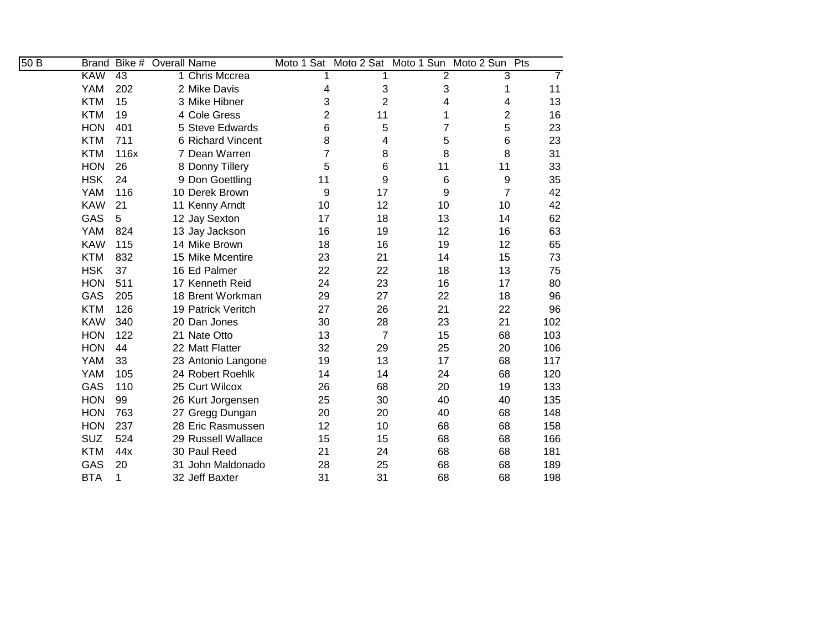| 50B | <b>Brand</b> | Bike # | <b>Overall Name</b> |                    |                |                 |    | Moto 1 Sat Moto 2 Sat Moto 1 Sun Moto 2 Sun Pts |                |
|-----|--------------|--------|---------------------|--------------------|----------------|-----------------|----|-------------------------------------------------|----------------|
|     | <b>KAW</b>   | 43     |                     | 1 Chris Mccrea     |                |                 | 2  | 3                                               | $\overline{7}$ |
|     | <b>YAM</b>   | 202    |                     | 2 Mike Davis       | 4              | 3               | 3  | 1                                               | 11             |
|     | <b>KTM</b>   | 15     |                     | 3 Mike Hibner      | 3              | $\overline{2}$  | 4  | 4                                               | 13             |
|     | <b>KTM</b>   | 19     |                     | 4 Cole Gress       | $\overline{2}$ | 11              | 1  | $\overline{2}$                                  | 16             |
|     | <b>HON</b>   | 401    |                     | 5 Steve Edwards    | 6              | 5               | 7  | 5                                               | 23             |
|     | <b>KTM</b>   | 711    |                     | 6 Richard Vincent  | 8              | 4               | 5  | 6                                               | 23             |
|     | <b>KTM</b>   | 116x   |                     | 7 Dean Warren      | 7              | 8               | 8  | 8                                               | 31             |
|     | <b>HON</b>   | 26     |                     | 8 Donny Tillery    | 5              | $6\phantom{1}6$ | 11 | 11                                              | 33             |
|     | <b>HSK</b>   | 24     |                     | 9 Don Goettling    | 11             | 9               | 6  | 9                                               | 35             |
|     | <b>YAM</b>   | 116    |                     | 10 Derek Brown     | 9              | 17              | 9  | $\overline{7}$                                  | 42             |
|     | <b>KAW</b>   | 21     |                     | 11 Kenny Arndt     | 10             | 12              | 10 | 10                                              | 42             |
|     | GAS          | 5      |                     | 12 Jay Sexton      | 17             | 18              | 13 | 14                                              | 62             |
|     | <b>YAM</b>   | 824    |                     | 13 Jay Jackson     | 16             | 19              | 12 | 16                                              | 63             |
|     | <b>KAW</b>   | 115    |                     | 14 Mike Brown      | 18             | 16              | 19 | 12                                              | 65             |
|     | <b>KTM</b>   | 832    |                     | 15 Mike Mcentire   | 23             | 21              | 14 | 15                                              | 73             |
|     | <b>HSK</b>   | 37     |                     | 16 Ed Palmer       | 22             | 22              | 18 | 13                                              | 75             |
|     | <b>HON</b>   | 511    |                     | 17 Kenneth Reid    | 24             | 23              | 16 | 17                                              | 80             |
|     | GAS          | 205    |                     | 18 Brent Workman   | 29             | 27              | 22 | 18                                              | 96             |
|     | <b>KTM</b>   | 126    |                     | 19 Patrick Veritch | 27             | 26              | 21 | 22                                              | 96             |
|     | <b>KAW</b>   | 340    |                     | 20 Dan Jones       | 30             | 28              | 23 | 21                                              | 102            |
|     | <b>HON</b>   | 122    |                     | 21 Nate Otto       | 13             | $\overline{7}$  | 15 | 68                                              | 103            |
|     | <b>HON</b>   | 44     |                     | 22 Matt Flatter    | 32             | 29              | 25 | 20                                              | 106            |
|     | <b>YAM</b>   | 33     |                     | 23 Antonio Langone | 19             | 13              | 17 | 68                                              | 117            |
|     | <b>YAM</b>   | 105    |                     | 24 Robert Roehlk   | 14             | 14              | 24 | 68                                              | 120            |
|     | GAS          | 110    |                     | 25 Curt Wilcox     | 26             | 68              | 20 | 19                                              | 133            |
|     | <b>HON</b>   | 99     |                     | 26 Kurt Jorgensen  | 25             | 30              | 40 | 40                                              | 135            |
|     | <b>HON</b>   | 763    |                     | 27 Gregg Dungan    | 20             | 20              | 40 | 68                                              | 148            |
|     | <b>HON</b>   | 237    |                     | 28 Eric Rasmussen  | 12             | 10              | 68 | 68                                              | 158            |
|     | <b>SUZ</b>   | 524    |                     | 29 Russell Wallace | 15             | 15              | 68 | 68                                              | 166            |
|     | <b>KTM</b>   | 44x    |                     | 30 Paul Reed       | 21             | 24              | 68 | 68                                              | 181            |
|     | GAS          | 20     |                     | 31 John Maldonado  | 28             | 25              | 68 | 68                                              | 189            |
|     | <b>BTA</b>   | 1      |                     | 32 Jeff Baxter     | 31             | 31              | 68 | 68                                              | 198            |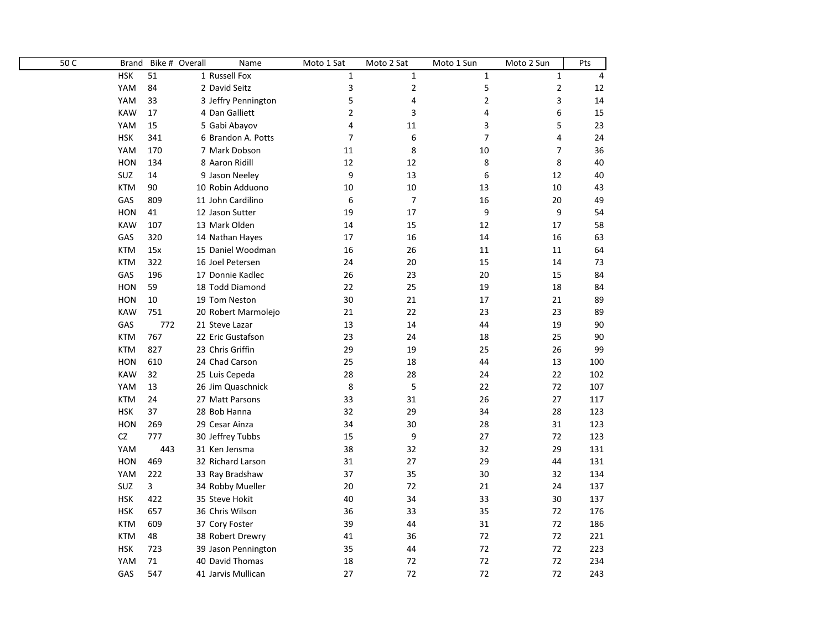| 50C | <b>Brand</b> |     | Bike # Overall<br>Name | Moto 1 Sat     | Moto 2 Sat     | Moto 1 Sun     | Moto 2 Sun   | Pts |
|-----|--------------|-----|------------------------|----------------|----------------|----------------|--------------|-----|
|     | <b>HSK</b>   | 51  | 1 Russell Fox          | $\mathbf{1}$   | $\mathbf{1}$   | $\mathbf{1}$   | $\mathbf{1}$ | 4   |
|     | YAM          | 84  | 2 David Seitz          | 3              | $\mathbf{2}$   | 5              | 2            | 12  |
|     | YAM          | 33  | 3 Jeffry Pennington    | 5              | 4              | $\overline{2}$ | 3            | 14  |
|     | <b>KAW</b>   | 17  | 4 Dan Galliett         | $\overline{2}$ | 3              | 4              | 6            | 15  |
|     | YAM          | 15  | 5 Gabi Abayov          | 4              | 11             | 3              | 5            | 23  |
|     | <b>HSK</b>   | 341 | 6 Brandon A. Potts     | 7              | 6              | $\overline{7}$ | 4            | 24  |
|     | YAM          | 170 | 7 Mark Dobson          | 11             | 8              | 10             | 7            | 36  |
|     | <b>HON</b>   | 134 | 8 Aaron Ridill         | 12             | 12             | 8              | 8            | 40  |
|     | SUZ          | 14  | 9 Jason Neeley         | 9              | 13             | 6              | 12           | 40  |
|     | <b>KTM</b>   | 90  | 10 Robin Adduono       | 10             | 10             | 13             | 10           | 43  |
|     | GAS          | 809 | 11 John Cardilino      | 6              | $\overline{7}$ | 16             | 20           | 49  |
|     | <b>HON</b>   | 41  | 12 Jason Sutter        | 19             | 17             | 9              | 9            | 54  |
|     | <b>KAW</b>   | 107 | 13 Mark Olden          | 14             | 15             | 12             | 17           | 58  |
|     | GAS          | 320 | 14 Nathan Hayes        | 17             | 16             | 14             | 16           | 63  |
|     | <b>KTM</b>   | 15x | 15 Daniel Woodman      | 16             | 26             | 11             | 11           | 64  |
|     | <b>KTM</b>   | 322 | 16 Joel Petersen       | 24             | 20             | 15             | 14           | 73  |
|     | GAS          | 196 | 17 Donnie Kadlec       | 26             | 23             | 20             | 15           | 84  |
|     | <b>HON</b>   | 59  | 18 Todd Diamond        | 22             | 25             | 19             | 18           | 84  |
|     | <b>HON</b>   | 10  | 19 Tom Neston          | 30             | 21             | 17             | 21           | 89  |
|     | <b>KAW</b>   | 751 | 20 Robert Marmolejo    | 21             | 22             | 23             | 23           | 89  |
|     | GAS          | 772 | 21 Steve Lazar         | 13             | 14             | 44             | 19           | 90  |
|     | <b>KTM</b>   | 767 | 22 Eric Gustafson      | 23             | 24             | 18             | 25           | 90  |
|     | <b>KTM</b>   | 827 | 23 Chris Griffin       | 29             | 19             | 25             | 26           | 99  |
|     | <b>HON</b>   | 610 | 24 Chad Carson         | 25             | 18             | 44             | 13           | 100 |
|     | <b>KAW</b>   | 32  | 25 Luis Cepeda         | 28             | 28             | 24             | 22           | 102 |
|     | YAM          | 13  | 26 Jim Quaschnick      | 8              | 5              | 22             | 72           | 107 |
|     | <b>KTM</b>   | 24  | 27 Matt Parsons        | 33             | 31             | 26             | 27           | 117 |
|     | <b>HSK</b>   | 37  | 28 Bob Hanna           | 32             | 29             | 34             | 28           | 123 |
|     | <b>HON</b>   | 269 | 29 Cesar Ainza         | 34             | 30             | 28             | 31           | 123 |
|     | CZ           | 777 | 30 Jeffrey Tubbs       | 15             | 9              | 27             | 72           | 123 |
|     | YAM          | 443 | 31 Ken Jensma          | 38             | 32             | 32             | 29           | 131 |
|     | <b>HON</b>   | 469 | 32 Richard Larson      | 31             | 27             | 29             | 44           | 131 |
|     | YAM          | 222 | 33 Ray Bradshaw        | 37             | 35             | 30             | 32           | 134 |
|     | SUZ          | 3   | 34 Robby Mueller       | 20             | 72             | 21             | 24           | 137 |
|     | <b>HSK</b>   | 422 | 35 Steve Hokit         | 40             | 34             | 33             | 30           | 137 |
|     | <b>HSK</b>   | 657 | 36 Chris Wilson        | 36             | 33             | 35             | 72           | 176 |
|     | <b>KTM</b>   | 609 | 37 Cory Foster         | 39             | 44             | 31             | 72           | 186 |
|     | <b>KTM</b>   | 48  | 38 Robert Drewry       | 41             | 36             | 72             | 72           | 221 |
|     | <b>HSK</b>   | 723 | 39 Jason Pennington    | 35             | 44             | 72             | 72           | 223 |
|     | YAM          | 71  | 40 David Thomas        | 18             | 72             | 72             | 72           | 234 |
|     | GAS          | 547 | 41 Jarvis Mullican     | 27             | 72             | 72             | 72           | 243 |